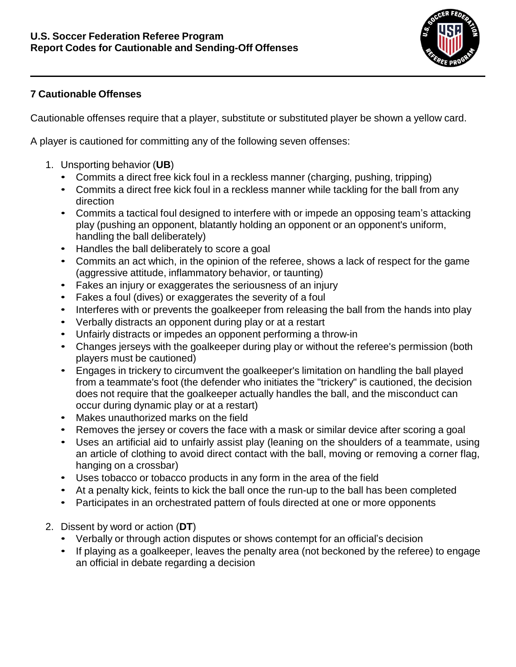

## **7 Cautionable Offenses**

Cautionable offenses require that a player, substitute or substituted player be shown a yellow card.

A player is cautioned for committing any of the following seven offenses:

- 1. Unsporting behavior (**UB**)
	- Commits a direct free kick foul in a reckless manner (charging, pushing, tripping)
	- Commits a direct free kick foul in a reckless manner while tackling for the ball from any direction
	- Commits a tactical foul designed to interfere with or impede an opposing team's attacking play (pushing an opponent, blatantly holding an opponent or an opponent's uniform, handling the ball deliberately)
	- Handles the ball deliberately to score a goal
	- Commits an act which, in the opinion of the referee, shows a lack of respect for the game (aggressive attitude, inflammatory behavior, or taunting)
	- Fakes an injury or exaggerates the seriousness of an injury
	- Fakes a foul (dives) or exaggerates the severity of a foul
	- Interferes with or prevents the goalkeeper from releasing the ball from the hands into play
	- Verbally distracts an opponent during play or at a restart
	- Unfairly distracts or impedes an opponent performing a throw-in
	- Changes jerseys with the goalkeeper during play or without the referee's permission (both players must be cautioned)
	- Engages in trickery to circumvent the goalkeeper's limitation on handling the ball played from a teammate's foot (the defender who initiates the "trickery" is cautioned, the decision does not require that the goalkeeper actually handles the ball, and the misconduct can occur during dynamic play or at a restart)
	- Makes unauthorized marks on the field
	- Removes the jersey or covers the face with a mask or similar device after scoring a goal
	- Uses an artificial aid to unfairly assist play (leaning on the shoulders of a teammate, using an article of clothing to avoid direct contact with the ball, moving or removing a corner flag, hanging on a crossbar)
	- Uses tobacco or tobacco products in any form in the area of the field
	- At a penalty kick, feints to kick the ball once the run-up to the ball has been completed
	- Participates in an orchestrated pattern of fouls directed at one or more opponents
- 2. Dissent by word or action (**DT**)
	- Verbally or through action disputes or shows contempt for an official's decision
	- If playing as a goalkeeper, leaves the penalty area (not beckoned by the referee) to engage an official in debate regarding a decision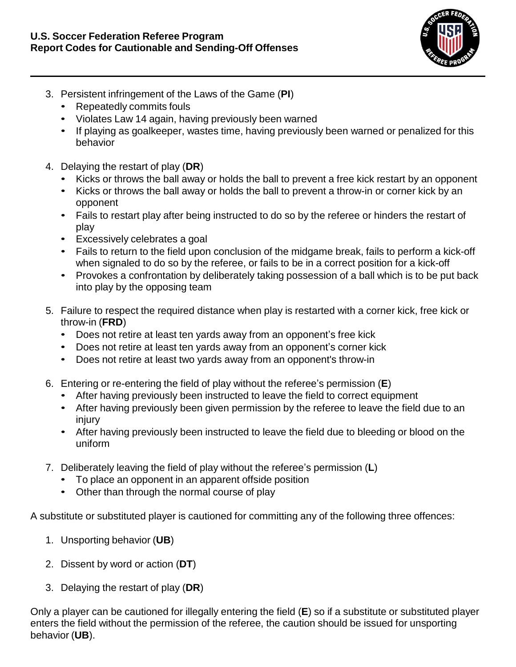

- 3. Persistent infringement of the Laws of the Game (**PI**)
	- Repeatedly commits fouls
	- Violates Law 14 again, having previously been warned
	- If playing as goalkeeper, wastes time, having previously been warned or penalized for this behavior
- 4. Delaying the restart of play (**DR**)
	- Kicks or throws the ball away or holds the ball to prevent a free kick restart by an opponent
	- Kicks or throws the ball away or holds the ball to prevent a throw-in or corner kick by an opponent
	- Fails to restart play after being instructed to do so by the referee or hinders the restart of play
	- Excessively celebrates a goal
	- Fails to return to the field upon conclusion of the midgame break, fails to perform a kick-off when signaled to do so by the referee, or fails to be in a correct position for a kick-off
	- Provokes a confrontation by deliberately taking possession of a ball which is to be put back into play by the opposing team
- 5. Failure to respect the required distance when play is restarted with a corner kick, free kick or throw-in (**FRD**)
	- Does not retire at least ten yards away from an opponent's free kick
	- Does not retire at least ten yards away from an opponent's corner kick
	- Does not retire at least two yards away from an opponent's throw-in
- 6. Entering or re-entering the field of play without the referee's permission (**E**)
	- After having previously been instructed to leave the field to correct equipment
	- After having previously been given permission by the referee to leave the field due to an injury
	- After having previously been instructed to leave the field due to bleeding or blood on the uniform
- 7. Deliberately leaving the field of play without the referee's permission (**L**)
	- To place an opponent in an apparent offside position
	- Other than through the normal course of play

A substitute or substituted player is cautioned for committing any of the following three offences:

- 1. Unsporting behavior (**UB**)
- 2. Dissent by word or action (**DT**)
- 3. Delaying the restart of play (**DR**)

Only a player can be cautioned for illegally entering the field (**E**) so if a substitute or substituted player enters the field without the permission of the referee, the caution should be issued for unsporting behavior (**UB**).